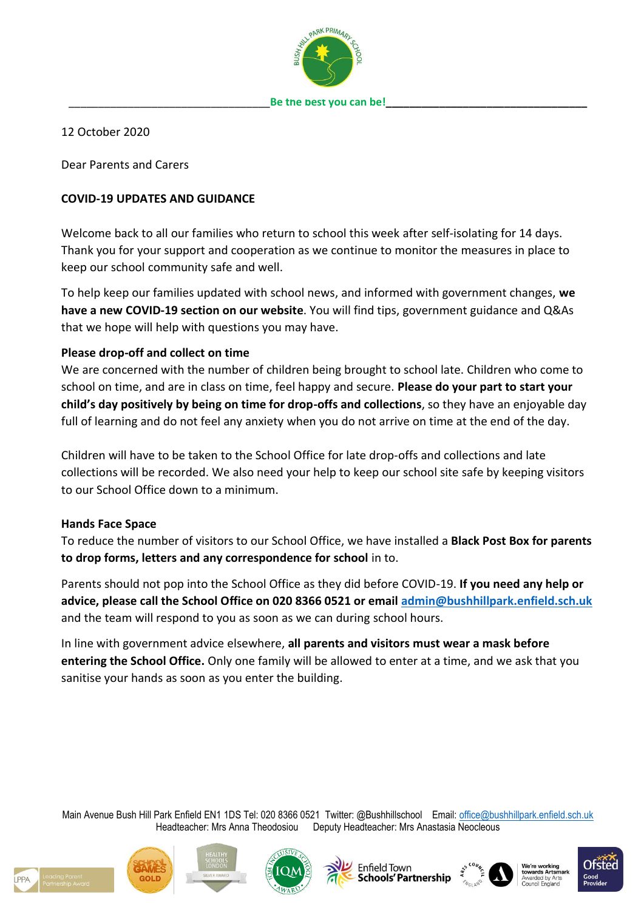

12 October 2020

Dear Parents and Carers

## **COVID-19 UPDATES AND GUIDANCE**

Welcome back to all our families who return to school this week after self-isolating for 14 days. Thank you for your support and cooperation as we continue to monitor the measures in place to keep our school community safe and well.

To help keep our families updated with school news, and informed with government changes, **we have a new COVID-19 section on our website**. You will find tips, government guidance and Q&As that we hope will help with questions you may have.

## **Please drop-off and collect on time**

We are concerned with the number of children being brought to school late. Children who come to school on time, and are in class on time, feel happy and secure. **Please do your part to start your child's day positively by being on time for drop-offs and collections**, so they have an enjoyable day full of learning and do not feel any anxiety when you do not arrive on time at the end of the day.

Children will have to be taken to the School Office for late drop-offs and collections and late collections will be recorded. We also need your help to keep our school site safe by keeping visitors to our School Office down to a minimum.

## **Hands Face Space**

To reduce the number of visitors to our School Office, we have installed a **Black Post Box for parents to drop forms, letters and any correspondence for school** in to.

Parents should not pop into the School Office as they did before COVID-19. **If you need any help or advice, please call the School Office on 020 8366 0521 or email [admin@bushhillpark.enfield.sch.uk](mailto:admin@bushhillpark.enfield.sch.uk)** and the team will respond to you as soon as we can during school hours.

In line with government advice elsewhere, **all parents and visitors must wear a mask before entering the School Office.** Only one family will be allowed to enter at a time, and we ask that you sanitise your hands as soon as you enter the building.

Main Avenue Bush Hill Park Enfield EN1 1DS Tel: 020 8366 0521 Twitter: @Bushhillschool Email: [office@bushhillpark.enfield.sch.uk](mailto:office@bushhillpark.enfield.sch.uk) Headteacher: Mrs Anna Theodosiou Deputy Headteacher: Mrs Anastasia Neocleous